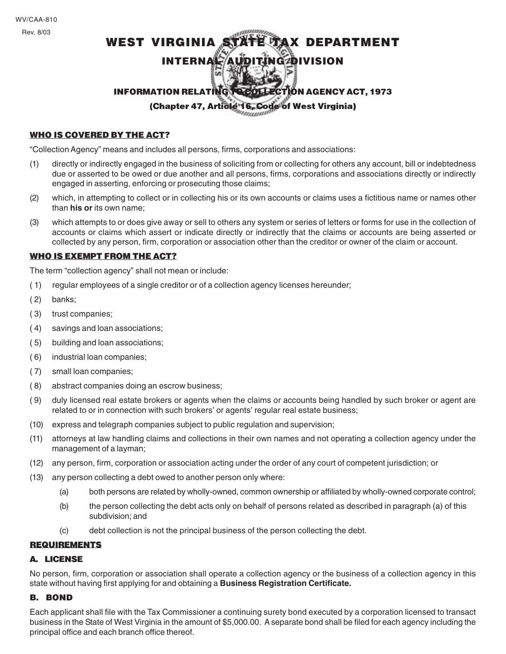# WEST VIRGINIA STATE TAX DEPARTMENT INTERNAL AUDITING DIVISION 57 INFORMATION RELATING TO COLLECTION AGENCY ACT, 1973

(Chapter 47, Article 16, Code of West Virginia)

## WHO IS COVERED BY THE ACT?

"Collection Agency" means and includes all persons, firms, corporations and associations:

- (1) directly or indirectly engaged in the business of soliciting from or collecting for others any account, bill or indebtedness due or asserted to be owed or due another and all persons, firms, corporations and associations directly or indirectly engaged in asserting, enforcing or prosecuting those claims;
- (2) which, in attempting to collect or in collecting his or its own accounts or claims uses a fictitious name or names other than **his or** its own name;
- (3) which attempts to or does give away or sell to others any system or series of letters or forms for use in the collection of accounts or claims which assert or indicate directly or indirectly that the claims or accounts are being asserted or collected by any person, firm, corporation or association other than the creditor or owner of the claim or account.

## WHO IS EXEMPT FROM THE ACT?

The term "collection agency" shall not mean or include:

- ( 1) regular employees of a single creditor or of a collection agency licenses hereunder;
- ( 2) banks;
- ( 3) trust companies;
- ( 4) savings and loan associations;
- ( 5) building and loan associations;
- ( 6) industrial loan companies;
- ( 7) small loan companies;
- ( 8) abstract companies doing an escrow business;
- ( 9) duly licensed real estate brokers or agents when the claims or accounts being handled by such broker or agent are related to or in connection with such brokers' or agents' regular real estate business;
- (10) express and telegraph companies subject to public regulation and supervision;
- (11) attorneys at law handling claims and collections in their own names and not operating a collection agency under the management of a layman;
- (12) any person, firm, corporation or association acting under the order of any court of competent jurisdiction; or
- (13) any person collecting a debt owed to another person only where:
	- (a) both persons are related by wholly-owned, common ownership or affiliated by wholly-owned corporate control;
	- (b) the person collecting the debt acts only on behalf of persons related as described in paragraph (a) of this subdivision; and
	- (c) debt collection is not the principal business of the person collecting the debt.

## REQUIREMENTS

#### A. LICENSE

No person, firm, corporation or association shall operate a collection agency or the business of a collection agency in this state without having first applying for and obtaining a **Business Registration Certificate.**

## B. BOND

Each applicant shall file with the Tax Commissioner a continuing surety bond executed by a corporation licensed to transact business in the State of West Virginia in the amount of \$5,000.00. A separate bond shall be filed for each agency including the principal office and each branch office thereof.